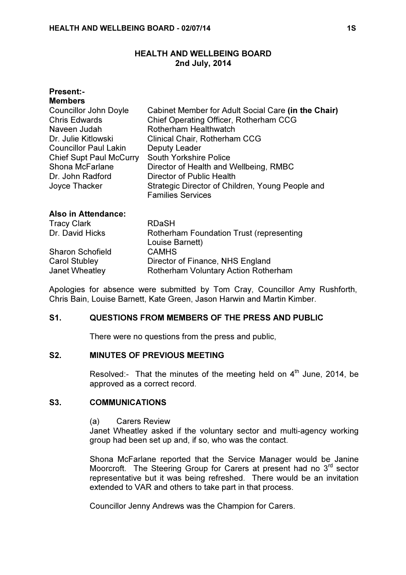## HEALTH AND WELLBEING BOARD 2nd July, 2014

| <b>Present:-</b><br><b>Members</b><br>Councillor John Doyle<br><b>Chris Edwards</b><br>Naveen Judah<br>Dr. Julie Kitlowski<br><b>Councillor Paul Lakin</b><br><b>Chief Supt Paul McCurry</b><br>Shona McFarlane<br>Dr. John Radford<br>Joyce Thacker | Cabinet Member for Adult Social Care (in the Chair)<br>Chief Operating Officer, Rotherham CCG<br>Rotherham Healthwatch<br>Clinical Chair, Rotherham CCG<br>Deputy Leader<br><b>South Yorkshire Police</b><br>Director of Health and Wellbeing, RMBC<br>Director of Public Health<br>Strategic Director of Children, Young People and<br><b>Families Services</b> |
|------------------------------------------------------------------------------------------------------------------------------------------------------------------------------------------------------------------------------------------------------|------------------------------------------------------------------------------------------------------------------------------------------------------------------------------------------------------------------------------------------------------------------------------------------------------------------------------------------------------------------|
| <b>Also in Attendance:</b><br><b>Tracy Clark</b>                                                                                                                                                                                                     | <b>RDaSH</b>                                                                                                                                                                                                                                                                                                                                                     |
| Dr. David Hicks                                                                                                                                                                                                                                      | <b>Rotherham Foundation Trust (representing</b><br>Louise Barnett)                                                                                                                                                                                                                                                                                               |

|                  | Louise Barnett)                      |
|------------------|--------------------------------------|
| Sharon Schofield | <b>CAMHS</b>                         |
| Carol Stubley    | Director of Finance, NHS England     |
| Janet Wheatley   | Rotherham Voluntary Action Rotherham |

Apologies for absence were submitted by Tom Cray, Councillor Amy Rushforth, Chris Bain, Louise Barnett, Kate Green, Jason Harwin and Martin Kimber.

## S1. QUESTIONS FROM MEMBERS OF THE PRESS AND PUBLIC

There were no questions from the press and public,

## S2. MINUTES OF PREVIOUS MEETING

Resolved:- That the minutes of the meeting held on  $4<sup>th</sup>$  June, 2014, be approved as a correct record.

## S3. COMMUNICATIONS

#### (a) Carers Review

Janet Wheatley asked if the voluntary sector and multi-agency working group had been set up and, if so, who was the contact.

Shona McFarlane reported that the Service Manager would be Janine Moorcroft. The Steering Group for Carers at present had no 3<sup>rd</sup> sector representative but it was being refreshed. There would be an invitation extended to VAR and others to take part in that process.

Councillor Jenny Andrews was the Champion for Carers.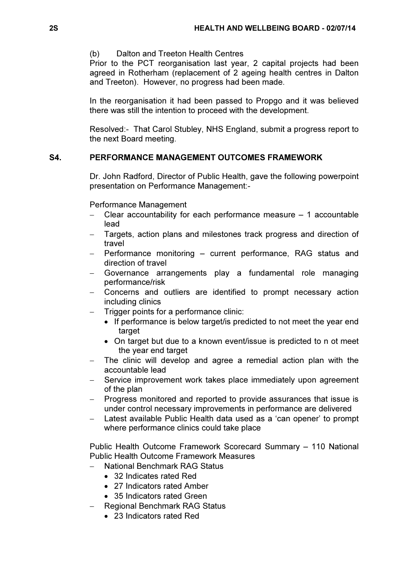# (b) Dalton and Treeton Health Centres

Prior to the PCT reorganisation last year, 2 capital projects had been agreed in Rotherham (replacement of 2 ageing health centres in Dalton and Treeton). However, no progress had been made.

In the reorganisation it had been passed to Propgo and it was believed there was still the intention to proceed with the development.

Resolved:- That Carol Stubley, NHS England, submit a progress report to the next Board meeting.

# S4. PERFORMANCE MANAGEMENT OUTCOMES FRAMEWORK

 Dr. John Radford, Director of Public Health, gave the following powerpoint presentation on Performance Management:-

Performance Management

- − Clear accountability for each performance measure 1 accountable lead
- − Targets, action plans and milestones track progress and direction of travel
- Performance monitoring current performance, RAG status and direction of travel
- − Governance arrangements play a fundamental role managing performance/risk
- Concerns and outliers are identified to prompt necessary action including clinics
- − Trigger points for a performance clinic:
	- If performance is below target/ is predicted to not meet the year end target
	- On target but due to a known event/issue is predicted to n ot meet the year end target
- The clinic will develop and agree a remedial action plan with the accountable lead
- − Service improvement work takes place immediately upon agreement of the plan
- − Progress monitored and reported to provide assurances that issue is under control necessary improvements in performance are delivered
- Latest available Public Health data used as a 'can opener' to prompt where performance clinics could take place

Public Health Outcome Framework Scorecard Summary – 110 National Public Health Outcome Framework Measures

- − National Benchmark RAG Status
	- 32 Indicates rated Red
	- 27 Indicators rated Amber
	- 35 Indicators rated Green
- − Regional Benchmark RAG Status
	- 23 Indicators rated Red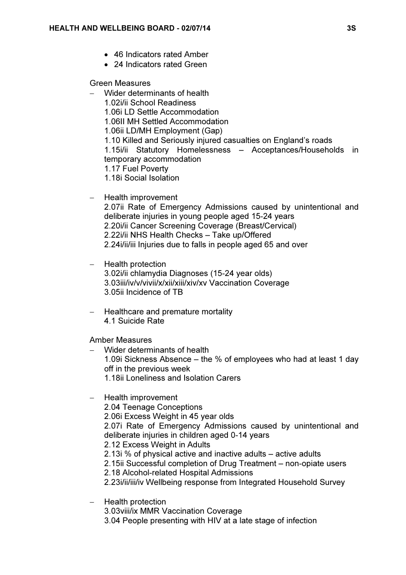- 46 Indicators rated Amber
- 24 Indicators rated Green

#### Green Measures

- − Wider determinants of health
	- 1.02i/ii School Readiness
	- 1.06i LD Settle Accommodation
	- 1.06II MH Settled Accommodation
	- 1.06ii LD/MH Employment (Gap)
	- 1.10 Killed and Seriously injured casualties on England's roads

1.15i/ii Statutory Homelessness – Acceptances/Households in temporary accommodation

- 1.17 Fuel Poverty
- 1.18i Social Isolation

#### − Health improvement

2.07ii Rate of Emergency Admissions caused by unintentional and deliberate injuries in young people aged 15-24 years 2.20i/ii Cancer Screening Coverage (Breast/Cervical) 2.22i/ii NHS Health Checks – Take up/Offered 2.24i/ii/iii Injuries due to falls in people aged 65 and over

# − Health protection 3.02i/ii chlamydia Diagnoses (15-24 year olds) 3.03iii/iv/v/vivii/x/xii/xiii/xiv/xv Vaccination Coverage 3.05ii Incidence of TB

− Healthcare and premature mortality 4.1 Suicide Rate

Amber Measures

- − Wider determinants of health 1.09i Sickness Absence – the % of employees who had at least 1 day off in the previous week 1.18ii Loneliness and Isolation Carers
- − Health improvement
	- 2.04 Teenage Conceptions
	- 2.06i Excess Weight in 45 year olds

2.07i Rate of Emergency Admissions caused by unintentional and deliberate injuries in children aged 0-14 years

- 2.12 Excess Weight in Adults
- 2.13i % of physical active and inactive adults active adults
- 2.15ii Successful completion of Drug Treatment non-opiate users
- 2.18 Alcohol-related Hospital Admissions
- 2.23i/ii/iii/iv Wellbeing response from Integrated Household Survey
- − Health protection 3.03viii/ix MMR Vaccination Coverage 3.04 People presenting with HIV at a late stage of infection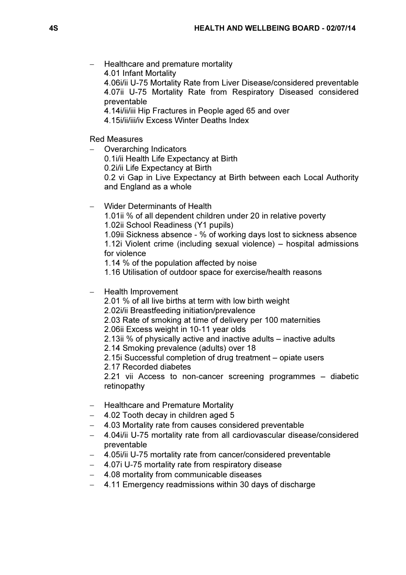- − Healthcare and premature mortality
	- 4.01 Infant Mortality
	- 4.06i/ii U-75 Mortality Rate from Liver Disease/considered preventable 4.07ii U-75 Mortality Rate from Respiratory Diseased considered preventable
	- 4.14i/ii/iii Hip Fractures in People aged 65 and over
	- 4.15i/ii/iii/iv Excess Winter Deaths Index

Red Measures

- − Overarching Indicators
	- 0.1i/ii Health Life Expectancy at Birth
	- 0.2i/ii Life Expectancy at Birth

0.2 vi Gap in Live Expectancy at Birth between each Local Authority and England as a whole

- − Wider Determinants of Health
	- 1.01ii % of all dependent children under 20 in relative poverty
	- 1.02ii School Readiness (Y1 pupils)

1.09ii Sickness absence - % of working days lost to sickness absence 1.12i Violent crime (including sexual violence) – hospital admissions for violence

1.14 % of the population affected by noise

1.16 Utilisation of outdoor space for exercise/health reasons

- − Health Improvement
	- 2.01 % of all live births at term with low birth weight
	- 2.02i/ii Breastfeeding initiation/prevalence
	- 2.03 Rate of smoking at time of delivery per 100 maternities
	- 2.06ii Excess weight in 10-11 year olds
	- 2.13ii % of physically active and inactive adults inactive adults
	- 2.14 Smoking prevalence (adults) over 18
	- 2.15i Successful completion of drug treatment opiate users
	- 2.17 Recorded diabetes

2.21 vii Access to non-cancer screening programmes – diabetic retinopathy

- − Healthcare and Premature Mortality
- − 4.02 Tooth decay in children aged 5
- − 4.03 Mortality rate from causes considered preventable
- − 4.04i/ii U-75 mortality rate from all cardiovascular disease/considered preventable
- − 4.05i/ii U-75 mortality rate from cancer/considered preventable
- − 4.07i U-75 mortality rate from respiratory disease
- − 4.08 mortality from communicable diseases
- − 4.11 Emergency readmissions within 30 days of discharge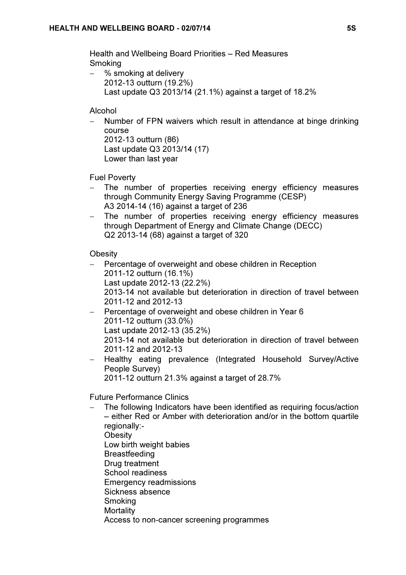Health and Wellbeing Board Priorities – Red Measures Smoking

% smoking at delivery 2012-13 outturn (19.2%) Last update Q3 2013/14 (21.1%) against a target of 18.2%

# Alcohol

Number of FPN waivers which result in attendance at binge drinking course 2012-13 outturn (86)

Last update Q3 2013/14 (17) Lower than last year

Fuel Poverty

- The number of properties receiving energy efficiency measures through Community Energy Saving Programme (CESP) A3 2014-14 (16) against a target of 236
- − The number of properties receiving energy efficiency measures through Department of Energy and Climate Change (DECC) Q2 2013-14 (68) against a target of 320

# **Obesity**

- Percentage of overweight and obese children in Reception 2011-12 outturn (16.1%) Last update 2012-13 (22.2%) 2013-14 not available but deterioration in direction of travel between 2011-12 and 2012-13 − Percentage of overweight and obese children in Year 6 2011-12 outturn (33.0%) Last update 2012-13 (35.2%)
	- 2013-14 not available but deterioration in direction of travel between 2011-12 and 2012-13
- − Healthy eating prevalence (Integrated Household Survey/Active People Survey)

2011-12 outturn 21.3% against a target of 28.7%

Future Performance Clinics

The following Indicators have been identified as requiring focus/action – either Red or Amber with deterioration and/or in the bottom quartile regionally:- **Obesity** Low birth weight babies **Breastfeeding** Drug treatment School readiness Emergency readmissions Sickness absence **Smoking Mortality** Access to non-cancer screening programmes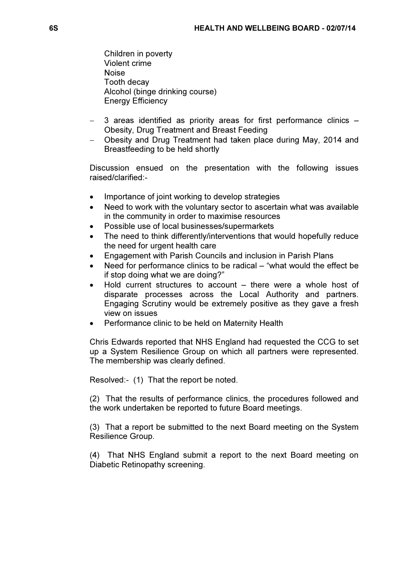Children in poverty Violent crime Noise Tooth decay Alcohol (binge drinking course) Energy Efficiency

- − 3 areas identified as priority areas for first performance clinics Obesity, Drug Treatment and Breast Feeding
- − Obesity and Drug Treatment had taken place during May, 2014 and Breastfeeding to be held shortly

Discussion ensued on the presentation with the following issues raised/clarified:-

- Importance of joint working to develop strategies
- Need to work with the voluntary sector to ascertain what was available in the community in order to maximise resources
- Possible use of local businesses/supermarkets
- The need to think differently/interventions that would hopefully reduce the need for urgent health care
- Engagement with Parish Councils and inclusion in Parish Plans
- Need for performance clinics to be radical "what would the effect be if stop doing what we are doing?"
- Hold current structures to account there were a whole host of disparate processes across the Local Authority and partners. Engaging Scrutiny would be extremely positive as they gave a fresh view on issues
- Performance clinic to be held on Maternity Health

Chris Edwards reported that NHS England had requested the CCG to set up a System Resilience Group on which all partners were represented. The membership was clearly defined.

Resolved:- (1) That the report be noted.

(2) That the results of performance clinics, the procedures followed and the work undertaken be reported to future Board meetings.

(3) That a report be submitted to the next Board meeting on the System Resilience Group.

(4) That NHS England submit a report to the next Board meeting on Diabetic Retinopathy screening.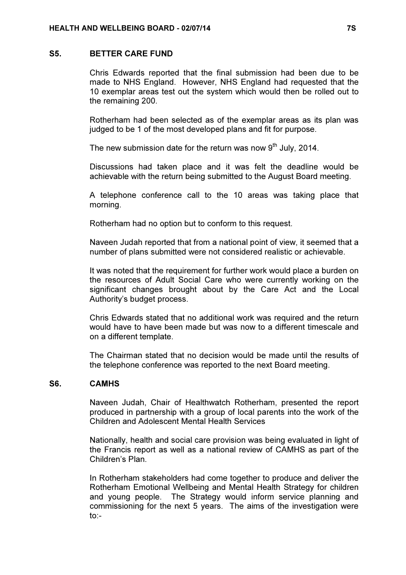#### S5. BETTER CARE FUND

 Chris Edwards reported that the final submission had been due to be made to NHS England. However, NHS England had requested that the 10 exemplar areas test out the system which would then be rolled out to the remaining 200.

Rotherham had been selected as of the exemplar areas as its plan was judged to be 1 of the most developed plans and fit for purpose.

The new submission date for the return was now  $9<sup>th</sup>$  July, 2014.

Discussions had taken place and it was felt the deadline would be achievable with the return being submitted to the August Board meeting.

A telephone conference call to the 10 areas was taking place that morning.

Rotherham had no option but to conform to this request.

Naveen Judah reported that from a national point of view, it seemed that a number of plans submitted were not considered realistic or achievable.

It was noted that the requirement for further work would place a burden on the resources of Adult Social Care who were currently working on the significant changes brought about by the Care Act and the Local Authority's budget process.

Chris Edwards stated that no additional work was required and the return would have to have been made but was now to a different timescale and on a different template.

The Chairman stated that no decision would be made until the results of the telephone conference was reported to the next Board meeting.

#### S6. CAMHS

 Naveen Judah, Chair of Healthwatch Rotherham, presented the report produced in partnership with a group of local parents into the work of the Children and Adolescent Mental Health Services

Nationally, health and social care provision was being evaluated in light of the Francis report as well as a national review of CAMHS as part of the Children's Plan.

In Rotherham stakeholders had come together to produce and deliver the Rotherham Emotional Wellbeing and Mental Health Strategy for children and young people. The Strategy would inform service planning and commissioning for the next 5 years. The aims of the investigation were to:-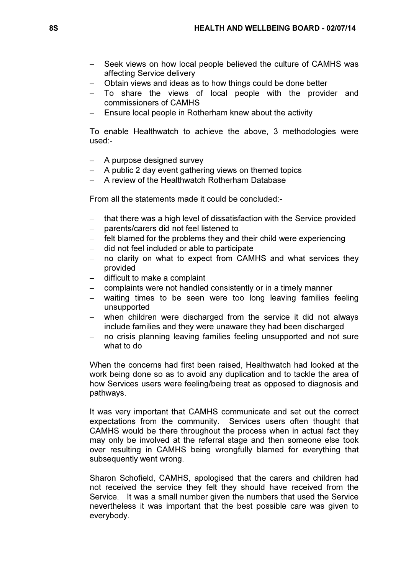- − Seek views on how local people believed the culture of CAMHS was affecting Service delivery
- − Obtain views and ideas as to how things could be done better
- − To share the views of local people with the provider and commissioners of CAMHS
- Ensure local people in Rotherham knew about the activity

To enable Healthwatch to achieve the above, 3 methodologies were used:-

- − A purpose designed survey
- A public 2 day event gathering views on themed topics
- − A review of the Healthwatch Rotherham Database

From all the statements made it could be concluded:-

- that there was a high level of dissatisfaction with the Service provided
- − parents/carers did not feel listened to
- felt blamed for the problems they and their child were experiencing
- − did not feel included or able to participate
- no clarity on what to expect from CAMHS and what services they provided
- − difficult to make a complaint
- complaints were not handled consistently or in a timely manner
- waiting times to be seen were too long leaving families feeling unsupported
- when children were discharged from the service it did not always include families and they were unaware they had been discharged
- no crisis planning leaving families feeling unsupported and not sure what to do

When the concerns had first been raised, Healthwatch had looked at the work being done so as to avoid any duplication and to tackle the area of how Services users were feeling/being treat as opposed to diagnosis and pathways.

It was very important that CAMHS communicate and set out the correct expectations from the community. Services users often thought that CAMHS would be there throughout the process when in actual fact they may only be involved at the referral stage and then someone else took over resulting in CAMHS being wrongfully blamed for everything that subsequently went wrong.

Sharon Schofield, CAMHS, apologised that the carers and children had not received the service they felt they should have received from the Service. It was a small number given the numbers that used the Service nevertheless it was important that the best possible care was given to everybody.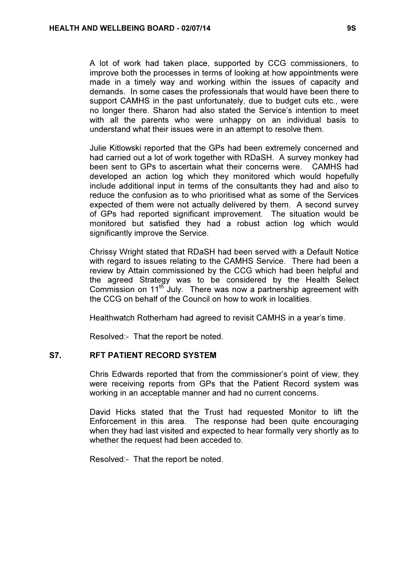A lot of work had taken place, supported by CCG commissioners, to improve both the processes in terms of looking at how appointments were made in a timely way and working within the issues of capacity and demands. In some cases the professionals that would have been there to support CAMHS in the past unfortunately, due to budget cuts etc., were no longer there. Sharon had also stated the Service's intention to meet with all the parents who were unhappy on an individual basis to understand what their issues were in an attempt to resolve them.

Julie Kitlowski reported that the GPs had been extremely concerned and had carried out a lot of work together with RDaSH. A survey monkey had been sent to GPs to ascertain what their concerns were. CAMHS had developed an action log which they monitored which would hopefully include additional input in terms of the consultants they had and also to reduce the confusion as to who prioritised what as some of the Services expected of them were not actually delivered by them. A second survey of GPs had reported significant improvement. The situation would be monitored but satisfied they had a robust action log which would significantly improve the Service.

Chrissy Wright stated that RDaSH had been served with a Default Notice with regard to issues relating to the CAMHS Service. There had been a review by Attain commissioned by the CCG which had been helpful and the agreed Strategy was to be considered by the Health Select Commission on 11<sup>th</sup> July. There was now a partnership agreement with the CCG on behalf of the Council on how to work in localities.

Healthwatch Rotherham had agreed to revisit CAMHS in a year's time.

Resolved:- That the report be noted.

### S7. RFT PATIENT RECORD SYSTEM

 Chris Edwards reported that from the commissioner's point of view, they were receiving reports from GPs that the Patient Record system was working in an acceptable manner and had no current concerns.

David Hicks stated that the Trust had requested Monitor to lift the Enforcement in this area. The response had been quite encouraging when they had last visited and expected to hear formally very shortly as to whether the request had been acceded to.

Resolved:- That the report be noted.